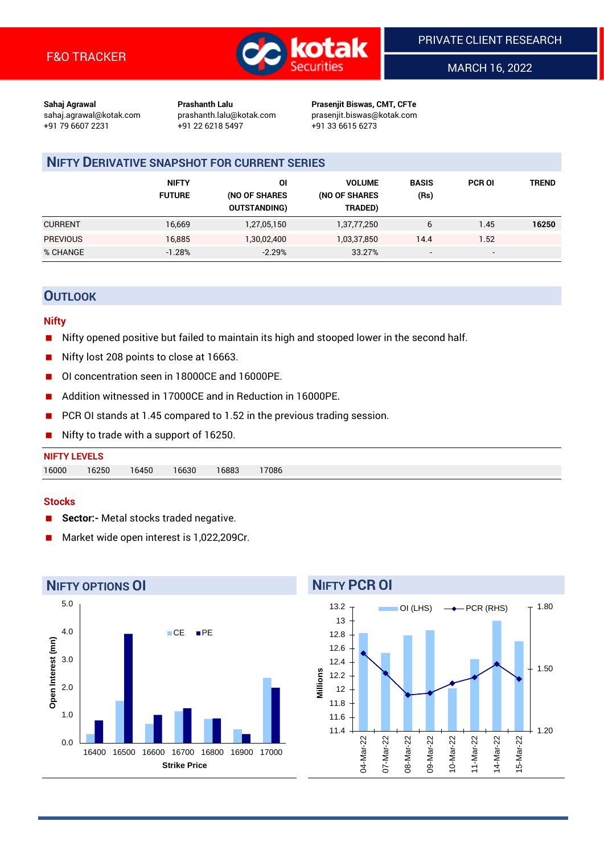

MARCH 16, 2022

**Sahaj Agrawal Prashanth Lalu Prasenjit Biswas, CMT, CFTe** +91 79 6607 2231 +91 22 6218 5497 +91 33 6615 6273

sahaj.agrawal@kotak.com [prashanth.lalu@kotak.com](mailto:prashanth.lalu@kotak.com) prasenjit.biswas@kotak.com

# **NIFTY DERIVATIVE SNAPSHOT FOR CURRENT SERIES**

|                 | <b>NIFTY</b><br><b>FUTURE</b> | ΟI<br>(NO OF SHARES<br><b>OUTSTANDING)</b> | <b>VOLUME</b><br>(NO OF SHARES<br>TRADED) | <b>BASIS</b><br>(Rs)     | <b>PCR OI</b>            | TREND |
|-----------------|-------------------------------|--------------------------------------------|-------------------------------------------|--------------------------|--------------------------|-------|
| <b>CURRENT</b>  | 16,669                        | 1,27,05,150                                | 1,37,77,250                               | 6                        | 1.45                     | 16250 |
| <b>PREVIOUS</b> | 16,885                        | 1,30,02,400                                | 1,03,37,850                               | 14.4                     | 1.52                     |       |
| % CHANGE        | $-1.28%$                      | $-2.29%$                                   | 33.27%                                    | $\overline{\phantom{a}}$ | $\overline{\phantom{0}}$ |       |

## **OUTLOOK**

#### **Nifty**

- Nifty opened positive but failed to maintain its high and stooped lower in the second half.
- Nifty lost 208 points to close at 16663.
- OI concentration seen in 18000CE and 16000PE.
- Addition witnessed in 17000CE and in Reduction in 16000PE.
- PCR OI stands at 1.45 compared to 1.52 in the previous trading session.
- Nifty to trade with a support of 16250.

# **NIFTY LEVELS** 16000 16250 16450 16630 16883 17086

#### **Stocks**

- **Sector:-** Metal stocks traded negative.
- Market wide open interest is 1,022,209Cr.

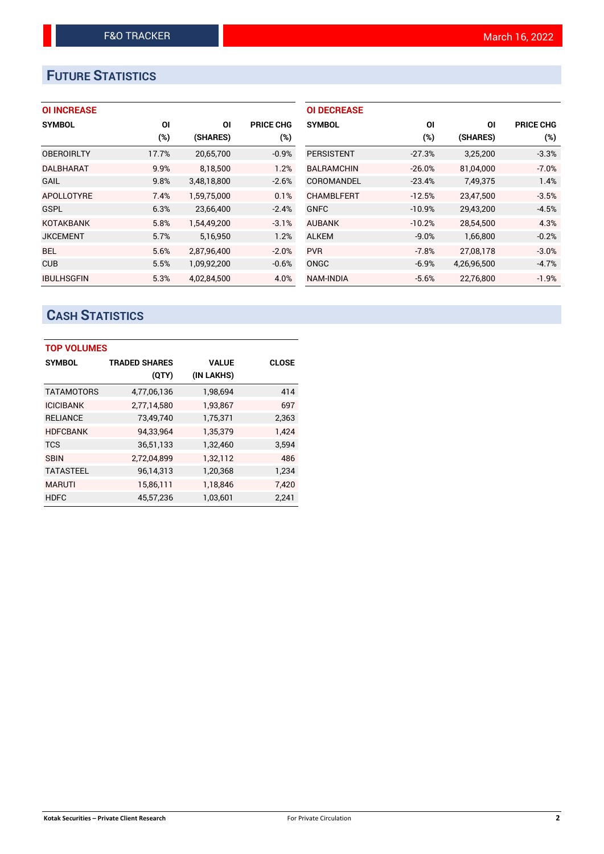# **FUTURE STATISTICS**

| <b>OI INCREASE</b> |  |  |  |  |
|--------------------|--|--|--|--|
|--------------------|--|--|--|--|

| <b>SYMBOL</b>     | ΟI     | ΟI          | <b>PRICE CHG</b> |
|-------------------|--------|-------------|------------------|
|                   | $(\%)$ | (SHARES)    | $(\%)$           |
| <b>OBEROIRLTY</b> | 17.7%  | 20,65,700   | $-0.9%$          |
| <b>DALBHARAT</b>  | 9.9%   | 8,18,500    | 1.2%             |
| <b>GAIL</b>       | 9.8%   | 3,48,18,800 | $-2.6%$          |
| <b>APOLLOTYRE</b> | 7.4%   | 1,59,75,000 | 0.1%             |
| <b>GSPL</b>       | 6.3%   | 23,66,400   | $-2.4%$          |
| <b>KOTAKBANK</b>  | 5.8%   | 1.54.49.200 | $-3.1%$          |
| <b>JKCEMENT</b>   | 5.7%   | 5,16,950    | 1.2%             |
| <b>BEL</b>        | 5.6%   | 2,87,96,400 | $-2.0%$          |
| <b>CUB</b>        | 5.5%   | 1,09,92,200 | $-0.6%$          |
| <b>IBULHSGFIN</b> | 5.3%   | 4.02.84.500 | 4.0%             |

| <b>OI DECREASE</b> |          |             |                  |
|--------------------|----------|-------------|------------------|
| <b>SYMBOL</b>      | ΟI       | ΟI          | <b>PRICE CHG</b> |
|                    | (%)      | (SHARES)    | (%)              |
| <b>PERSISTENT</b>  | $-27.3%$ | 3,25,200    | $-3.3%$          |
| <b>BALRAMCHIN</b>  | $-26.0%$ | 81,04,000   | $-7.0%$          |
| COROMANDEL         | $-23.4%$ | 7,49,375    | 1.4%             |
| <b>CHAMBLFERT</b>  | $-12.5%$ | 23,47,500   | $-3.5%$          |
| <b>GNFC</b>        | $-10.9%$ | 29,43,200   | $-4.5%$          |
| <b>AUBANK</b>      | $-10.2%$ | 28,54,500   | 4.3%             |
| <b>ALKEM</b>       | $-9.0%$  | 1,66,800    | $-0.2%$          |
| <b>PVR</b>         | $-7.8%$  | 27,08,178   | $-3.0%$          |
| <b>ONGC</b>        | $-6.9%$  | 4,26,96,500 | $-4.7%$          |
| <b>NAM-INDIA</b>   | $-5.6%$  | 22,76,800   | $-1.9%$          |

# **CASH STATISTICS**

| <b>TOP VOLUMES</b> |                      |              |              |  |  |  |  |  |
|--------------------|----------------------|--------------|--------------|--|--|--|--|--|
| <b>SYMBOL</b>      | <b>TRADED SHARES</b> | <b>VALUE</b> | <b>CLOSE</b> |  |  |  |  |  |
|                    | (QTY)                | (IN LAKHS)   |              |  |  |  |  |  |
| <b>TATAMOTORS</b>  | 4,77,06,136          | 1,98,694     | 414          |  |  |  |  |  |
| <b>ICICIBANK</b>   | 2,77,14,580          | 1,93,867     | 697          |  |  |  |  |  |
| <b>RELIANCE</b>    | 73,49,740            | 1,75,371     | 2,363        |  |  |  |  |  |
| <b>HDFCBANK</b>    | 94,33,964            | 1,35,379     | 1,424        |  |  |  |  |  |
| <b>TCS</b>         | 36,51,133            | 1,32,460     | 3,594        |  |  |  |  |  |
| <b>SBIN</b>        | 2,72,04,899          | 1,32,112     | 486          |  |  |  |  |  |
| <b>TATASTEEL</b>   | 96,14,313            | 1,20,368     | 1.234        |  |  |  |  |  |
| <b>MARUTI</b>      | 15,86,111            | 1,18,846     | 7,420        |  |  |  |  |  |
| <b>HDFC</b>        | 45,57,236            | 1,03,601     | 2,241        |  |  |  |  |  |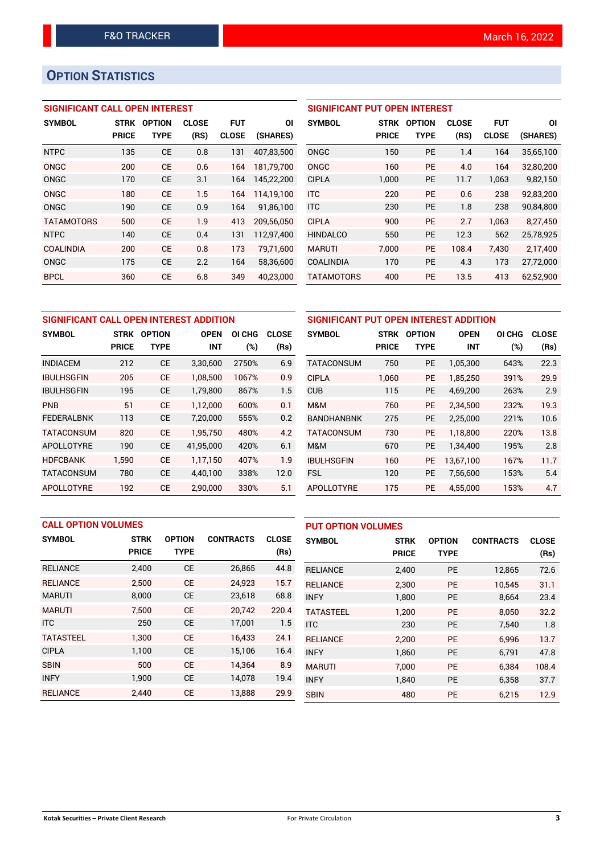# **OPTION STATISTICS**

## **SIGNIFICANT CALL OPEN INTEREST**

| <b>SYMBOL</b>     | <b>STRK</b>  | <b>OPTION</b> | <b>CLOSE</b> | <b>FUT</b>   | ΟI         |
|-------------------|--------------|---------------|--------------|--------------|------------|
|                   | <b>PRICE</b> | <b>TYPE</b>   | (RS)         | <b>CLOSE</b> | (SHARES)   |
| <b>NTPC</b>       | 135          | CE            | 0.8          | 131          | 407,83,500 |
| ONGC              | 200          | CE            | 0.6          | 164          | 181,79,700 |
| ONGC              | 170          | <b>CE</b>     | 3.1          | 164          | 145,22,200 |
| ONGC              | 180          | CE            | 1.5          | 164          | 114.19.100 |
| ONGC              | 190          | CE            | 0.9          | 164          | 91,86,100  |
| <b>TATAMOTORS</b> | 500          | <b>CE</b>     | 1.9          | 413          | 209,56,050 |
| <b>NTPC</b>       | 140          | <b>CE</b>     | 0.4          | 131          | 112,97,400 |
| <b>COALINDIA</b>  | 200          | CF            | 0.8          | 173          | 79.71.600  |
| ONGC              | 175          | <b>CE</b>     | 2.2          | 164          | 58,36,600  |
| <b>BPCL</b>       | 360          | CE            | 6.8          | 349          | 40.23.000  |

## **SIGNIFICANT PUT OPEN INTEREST**

| <b>SYMBOL</b>     | <b>STRK</b><br><b>PRICE</b> | <b>OPTION</b><br>TYPE | <b>CLOSE</b><br>(RS) | <b>FUT</b><br><b>CLOSE</b> | ΟI<br>(SHARES) |
|-------------------|-----------------------------|-----------------------|----------------------|----------------------------|----------------|
| ONGC              | 150                         | <b>PE</b>             | 1.4                  | 164                        | 35,65,100      |
| ONGC              | 160                         | PF                    | 4.0                  | 164                        | 32,80,200      |
| <b>CIPLA</b>      | 1,000                       | PF                    | 11.7                 | 1,063                      | 9,82,150       |
| <b>ITC</b>        | 220                         | PF                    | 0.6                  | 238                        | 92.83.200      |
| <b>ITC</b>        | 230                         | PF                    | 1.8                  | 238                        | 90,84,800      |
| <b>CIPLA</b>      | 900                         | PF                    | 2.7                  | 1,063                      | 8,27,450       |
| <b>HINDALCO</b>   | 550                         | PF                    | 12.3                 | 562                        | 25,78,925      |
| <b>MARUTI</b>     | 7.000                       | <b>PE</b>             | 108.4                | 7,430                      | 2,17,400       |
| COALINDIA         | 170                         | <b>PE</b>             | 4.3                  | 173                        | 27,72,000      |
| <b>TATAMOTORS</b> | 400                         | <b>PE</b>             | 13.5                 | 413                        | 62,52,900      |

| SIGNIFICANT CALL OPEN INTEREST ADDITION |              |               |             |        | SIGNIFICANT PUT OPEN INTEREST ADDITION |                   |              |               |             |        |              |
|-----------------------------------------|--------------|---------------|-------------|--------|----------------------------------------|-------------------|--------------|---------------|-------------|--------|--------------|
| <b>SYMBOL</b>                           | <b>STRK</b>  | <b>OPTION</b> | <b>OPEN</b> | OI CHG | <b>CLOSE</b>                           | <b>SYMBOL</b>     | <b>STRK</b>  | <b>OPTION</b> | <b>OPEN</b> | OI CHG | <b>CLOSE</b> |
|                                         | <b>PRICE</b> | <b>TYPE</b>   | <b>INT</b>  | (%)    | (Rs)                                   |                   | <b>PRICE</b> | <b>TYPE</b>   | <b>INT</b>  | (%)    | (Rs)         |
| <b>INDIACEM</b>                         | 212          | <b>CE</b>     | 3,30,600    | 2750%  | 6.9                                    | <b>TATACONSUM</b> | 750          | <b>PE</b>     | 1,05,300    | 643%   | 22.3         |
| <b>IBULHSGFIN</b>                       | 205          | <b>CE</b>     | 1.08.500    | 1067%  | 0.9                                    | <b>CIPLA</b>      | 1.060        | <b>PE</b>     | 1.85.250    | 391%   | 29.9         |
| <b>IBULHSGFIN</b>                       | 195          | <b>CE</b>     | 1,79,800    | 867%   | 1.5                                    | <b>CUB</b>        | 115          | <b>PE</b>     | 4,69,200    | 263%   | 2.9          |
| <b>PNB</b>                              | 51           | <b>CE</b>     | 1,12,000    | 600%   | 0.1                                    | M&M               | 760          | <b>PE</b>     | 2.34.500    | 232%   | 19.3         |
| <b>FEDERALBNK</b>                       | 113          | <b>CE</b>     | 7,20,000    | 555%   | 0.2                                    | <b>BANDHANBNK</b> | 275          | <b>PE</b>     | 2,25,000    | 221%   | 10.6         |
| <b>TATACONSUM</b>                       | 820          | <b>CE</b>     | 1,95,750    | 480%   | 4.2                                    | <b>TATACONSUM</b> | 730          | <b>PE</b>     | 1.18.800    | 220%   | 13.8         |
| APOLLOTYRE                              | 190          | <b>CE</b>     | 41,95,000   | 420%   | 6.1                                    | M&M               | 670          | PE            | 1,34,400    | 195%   | 2.8          |
| <b>HDFCBANK</b>                         | 1,590        | <b>CE</b>     | 1.17.150    | 407%   | 1.9                                    | <b>IBULHSGFIN</b> | 160          | <b>PE</b>     | 13.67.100   | 167%   | 11.7         |
| <b>TATACONSUM</b>                       | 780          | <b>CE</b>     | 4,40,100    | 338%   | 12.0                                   | <b>FSL</b>        | 120          | <b>PE</b>     | 7,56,600    | 153%   | 5.4          |
| APOLLOTYRE                              | 192          | <b>CE</b>     | 2.90.000    | 330%   | 5.1                                    | <b>APOLLOTYRE</b> | 175          | PE.           | 4.55.000    | 153%   | 4.7          |

|                  | <b>CALL OPTION VOLUMES</b> |               |                  |              | <b>PUT OPTION VOLUMES</b> |              |               |                  |              |
|------------------|----------------------------|---------------|------------------|--------------|---------------------------|--------------|---------------|------------------|--------------|
| <b>SYMBOL</b>    | <b>STRK</b>                | <b>OPTION</b> | <b>CONTRACTS</b> | <b>CLOSE</b> | <b>SYMBOL</b>             | <b>STRK</b>  | <b>OPTION</b> | <b>CONTRACTS</b> | <b>CLOSE</b> |
|                  | <b>PRICE</b>               | <b>TYPE</b>   |                  | (Rs)         |                           | <b>PRICE</b> | <b>TYPE</b>   |                  | (Rs)         |
| <b>RELIANCE</b>  | 2,400                      | <b>CE</b>     | 26,865           | 44.8         | <b>RELIANCE</b>           | 2,400        | <b>PE</b>     | 12,865           | 72.6         |
| <b>RELIANCE</b>  | 2.500                      | <b>CE</b>     | 24.923           | 15.7         | <b>RELIANCE</b>           | 2,300        | <b>PE</b>     | 10.545           | 31.1         |
| <b>MARUTI</b>    | 8,000                      | <b>CE</b>     | 23,618           | 68.8         | <b>INFY</b>               | 1,800        | PE            | 8,664            | 23.4         |
| <b>MARUTI</b>    | 7.500                      | <b>CE</b>     | 20.742           | 220.4        | <b>TATASTEEL</b>          | 1,200        | <b>PE</b>     | 8.050            | 32.2         |
| <b>ITC</b>       | 250                        | <b>CE</b>     | 17,001           | 1.5          | <b>ITC</b>                | 230          | <b>PE</b>     | 7,540            | 1.8          |
| <b>TATASTEEL</b> | 1,300                      | <b>CE</b>     | 16,433           | 24.1         | <b>RELIANCE</b>           | 2,200        | <b>PE</b>     | 6.996            | 13.7         |
| <b>CIPLA</b>     | 1,100                      | <b>CE</b>     | 15,106           | 16.4         | <b>INFY</b>               | 1,860        | <b>PE</b>     | 6,791            | 47.8         |
| <b>SBIN</b>      | 500                        | <b>CE</b>     | 14.364           | 8.9          | <b>MARUTI</b>             | 7.000        | <b>PE</b>     | 6.384            | 108.4        |
| <b>INFY</b>      | 1,900                      | <b>CE</b>     | 14.078           | 19.4         | <b>INFY</b>               | 1.840        | <b>PE</b>     | 6.358            | 37.7         |
| <b>RELIANCE</b>  | 2.440                      | <b>CE</b>     | 13,888           | 29.9         | <b>SBIN</b>               | 480          | <b>PE</b>     | 6.215            | 12.9         |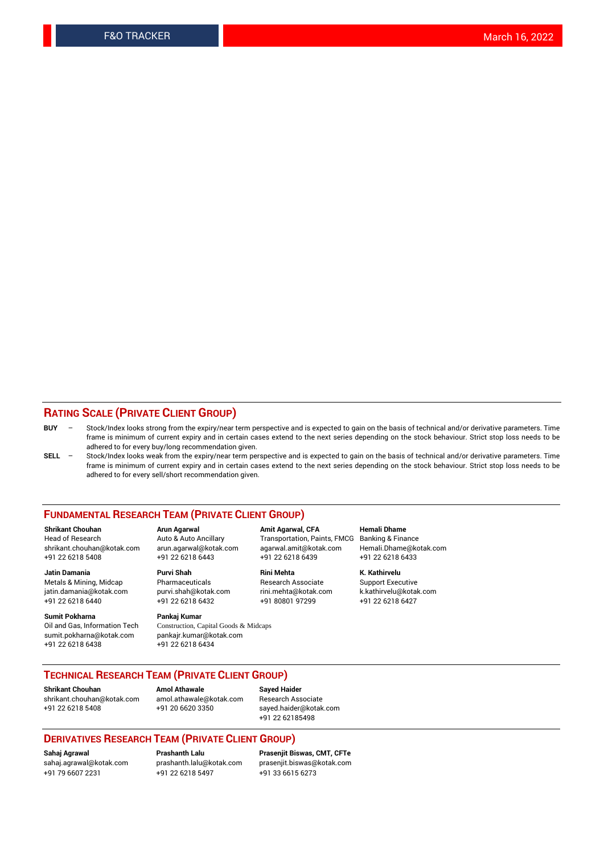### **RATING SCALE (PRIVATE CLIENT GROUP)**

- **BUY**  Stock/Index looks strong from the expiry/near term perspective and is expected to gain on the basis of technical and/or derivative parameters. Time frame is minimum of current expiry and in certain cases extend to the next series depending on the stock behaviour. Strict stop loss needs to be adhered to for every buy/long recommendation given.
- **SELL** Stock/Index looks weak from the expiry/near term perspective and is expected to gain on the basis of technical and/or derivative parameters. Time frame is minimum of current expiry and in certain cases extend to the next series depending on the stock behaviour. Strict stop loss needs to be adhered to for every sell/short recommendation given.

#### **FUNDAMENTAL RESEARCH TEAM (PRIVATE CLIENT GROUP)**

**Shrikant Chouhan Arun Agarwal Amit Agarwal, CFA Hemali Dhame** shrikant.chouhan@kotak.com arun.agarwal@kotak.com agarwal.amit@kotak.com Hemali.Dhame@kotak.com +91 22 6218 5408 +91 22 6218 6443 +91 22 6218 6439 +91 22 6218 6433

jatin.damania@kotak.com +91 22 6218 6440 +91 22 6218 6432 +91 80801 97299 +91 22 6218 6427

**Sumit Pokharna** Pankaj Kumar<br>Oil and Gas, Information Tech Construction, C sumit.pokharna@kotak.com pankajr.kumar@kotak.com +91 22 6218 6438 +91 22 6218 6434

**Jatin Damania Purvi Shah Rini Mehta K. Kathirvelu**

Construction, Capital Goods & Midcaps

Transportation, Paints, FMCG

Metals & Mining, Midcap Pharmaceuticals Pharmaceuticals Research Associate Support Executive<br>
iatin.damania@kotak.com purvi.shah@kotak.com rini.mehta@kotak.com k.kathirvelu@kotak.com

## **TECHNICAL RESEARCH TEAM (PRIVATE CLIENT GROUP)**

**Shrikant Chouhan Amol Athawale Sayed Haider** [shrikant.chouhan@kotak.com](mailto:shrikant.chouhan@kotak.com) [amol.athawale@kotak.com](mailto:amol.athawale@kotak.com) Research Associate +91 22 6218 5408 +91 20 6620 3350 [sayed.haider@kotak.com](mailto:sayed.haider@kotak.com)

+91 22 62185498

#### **DERIVATIVES RESEARCH TEAM (PRIVATE CLIENT GROUP)**

+91 79 6607 2231 +91 22 6218 5497 +91 33 6615 6273

**Sahaj Agrawal Prashanth Lalu Prasenjit Biswas, CMT, CFTe** [prasenjit.biswas@kotak.com](mailto:prasenjit.biswas@kotak.com)